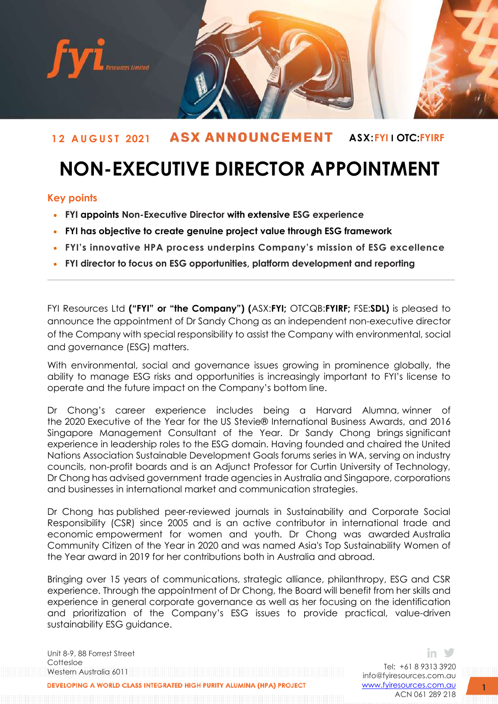

# **1 2 A U G U S T 2021 ASX:FYI I OTC:FYIRF**

# **NON-EXECUTIVE DIRECTOR APPOINTMENT**

## **Key points**

- **FYI appoints Non-Executive Director with extensive ESG experience**
- **FYI has objective to create genuine project value through ESG framework**
- **FYI's innovative HPA process underpins Company's mission of ESG excellence**
- **FYI director to focus on ESG opportunities, platform development and reporting**

FYI Resources Ltd **("FYI" or "the Company") (**ASX:**FYI;** OTCQB:**FYIRF;** FSE:**SDL)** is pleased to announce the appointment of Dr Sandy Chong as an independent non-executive director of the Company with special responsibility to assist the Company with environmental, social and governance (ESG) matters.

With environmental, social and governance issues growing in prominence globally, the ability to manage ESG risks and opportunities is increasingly important to FYI's license to operate and the future impact on the Company's bottom line.

Dr Chong's career experience includes being a Harvard Alumna, winner of the 2020 Executive of the Year for the US Stevie® International Business Awards, and 2016 Singapore Management Consultant of the Year. Dr Sandy Chong brings significant experience in leadership roles to the ESG domain. Having founded and chaired the United Nations Association Sustainable Development Goals forums series in WA, serving on industry councils, non-profit boards and is an Adjunct Professor for Curtin University of Technology, Dr Chong has advised government trade agencies in Australia and Singapore, corporations and businesses in international market and communication strategies.

Dr Chong has published peer-reviewed journals in Sustainability and Corporate Social Responsibility (CSR) since 2005 and is an active contributor in international trade and economic empowerment for women and youth. Dr Chong was awarded Australia Community Citizen of the Year in 2020 and was named Asia's Top Sustainability Women of the Year award in 2019 for her contributions both in Australia and abroad.

Bringing over 15 years of communications, strategic alliance, philanthropy, ESG and CSR experience. Through the appointment of Dr Chong, the Board will benefit from her skills and experience in general corporate governance as well as her focusing on the identification and prioritization of the Company's ESG issues to provide practical, value-driven sustainability ESG guidance.

Unit 8-9, 88 Forrest Street Cottesloe Western Australia 6011 DEVELOPING A WORLD CLASS INTEGRATED HIGH PURITY ALUMINA (HPA) PROJECT

Tel: +61 8 9313 3920 [info@fyiresources.com.au](mailto:info@fyiresources.com.au) [www.fyiresources.com.au](mailto:https://www.fyiresources.com.au/) ACN 061 289 218

in ≫

**1**